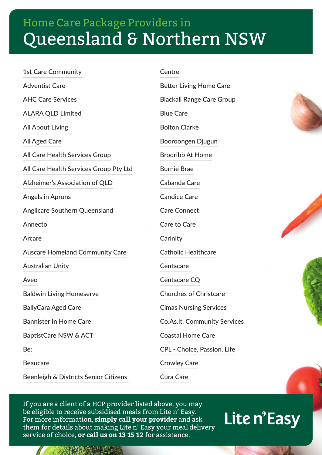1st Care Community Adventist Care AHC Care Services ALARA QLD Limited All About Living All Aged Care All Care Health Services Group All Care Health Services Group Pty Ltd Alzheimer's Association of QLD Angels in Aprons Anglicare Southern Queensland Annecto Arcare Auscare Homeland Community Care Australian Unity Aveo Baldwin Living Homeserve BallyCara Aged Care Bannister In Home Care BaptistCare NSW & ACT Be: Beaucare

Beenleigh & Districts Senior Citizens

Centre

Better Living Home Care Blackall Range Care Group Blue Care Bolton Clarke Booroongen Djugun Brodribb At Home Burnie Brae Cabanda Care Candice Care Care Connect Care to Care **Carinity** Catholic Healthcare Centacare Centacare CQ Churches of Christcare Cimas Nursing Services Co.As.It. Community Services Coastal Home Care CPL - Choice, Passion, Life Crowley Care

Cura Care

If you are a client of a HCP provider listed above, you may be eligible to receive subsidised meals from Lite n' Easy. For more information, **simply call your provider** and ask them for details about making Lite n' Easy your meal delivery service of choice, **or call us on 13 15 12** for assistance.





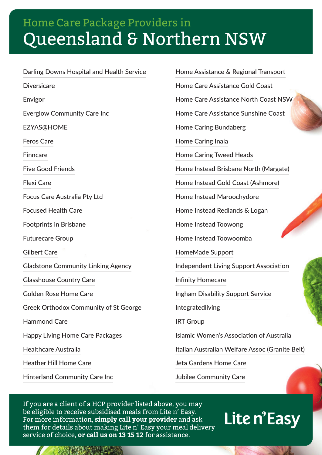Darling Downs Hospital and Health Service Diversicare Envigor Everglow Community Care Inc EZYAS@HOME Feros Care Finncare Five Good Friends Flexi Care Focus Care Australia Pty Ltd Focused Health Care Footprints in Brisbane Futurecare Group Gilbert Care Gladstone Community Linking Agency Glasshouse Country Care Golden Rose Home Care Greek Orthodox Community of St George Hammond Care Happy Living Home Care Packages Healthcare Australia Heather Hill Home Care Hinterland Community Care Inc

Home Assistance & Regional Transport Home Care Assistance Gold Coast Home Care Assistance North Coast NSW Home Care Assistance Sunshine Coast Home Caring Bundaberg Home Caring Inala Home Caring Tweed Heads Home Instead Brisbane North (Margate) Home Instead Gold Coast (Ashmore) Home Instead Maroochydore Home Instead Redlands & Logan Home Instead Toowong Home Instead Toowoomba HomeMade Support Independent Living Support Association Infinity Homecare Ingham Disability Support Service Integratedliving IRT Group Islamic Women's Association of Australia Italian Australian Welfare Assoc (Granite Belt) Jeta Gardens Home Care Jubilee Community Care

If you are a client of a HCP provider listed above, you may be eligible to receive subsidised meals from Lite n' Easy. For more information, **simply call your provider** and ask them for details about making Lite n' Easy your meal delivery service of choice, **or call us on 13 15 12** for assistance.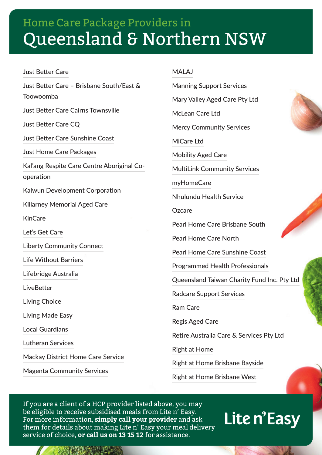Just Better Care Just Better Care – Brisbane South/East & Toowoomba Just Better Care Cairns Townsville Just Better Care CQ Just Better Care Sunshine Coast Just Home Care Packages Kal'ang Respite Care Centre Aboriginal Cooperation Kalwun Development Corporation Killarney Memorial Aged Care **KinCare** Let's Get Care Liberty Community Connect Life Without Barriers Lifebridge Australia LiveBetter Living Choice Living Made Easy Local Guardians Lutheran Services Mackay District Home Care Service Magenta Community Services

#### MALAJ

Manning Support Services

Mary Valley Aged Care Pty Ltd

McLean Care Ltd

Mercy Community Services

MiCare I<sub>td</sub>

Mobility Aged Care

MultiLink Community Services

myHomeCare

Nhulundu Health Service

**Ozcare** 

Pearl Home Care Brisbane South

Pearl Home Care North

Pearl Home Care Sunshine Coast

Programmed Health Professionals

Queensland Taiwan Charity Fund Inc. Pty Ltd

Radcare Support Services

Ram Care

Regis Aged Care

Retire Australia Care & Services Pty Ltd

Right at Home

Right at Home Brisbane Bayside

Right at Home Brisbane West

If you are a client of a HCP provider listed above, you may be eligible to receive subsidised meals from Lite n' Easy. For more information, **simply call your provider** and ask them for details about making Lite n' Easy your meal delivery service of choice, **or call us on 13 15 12** for assistance.